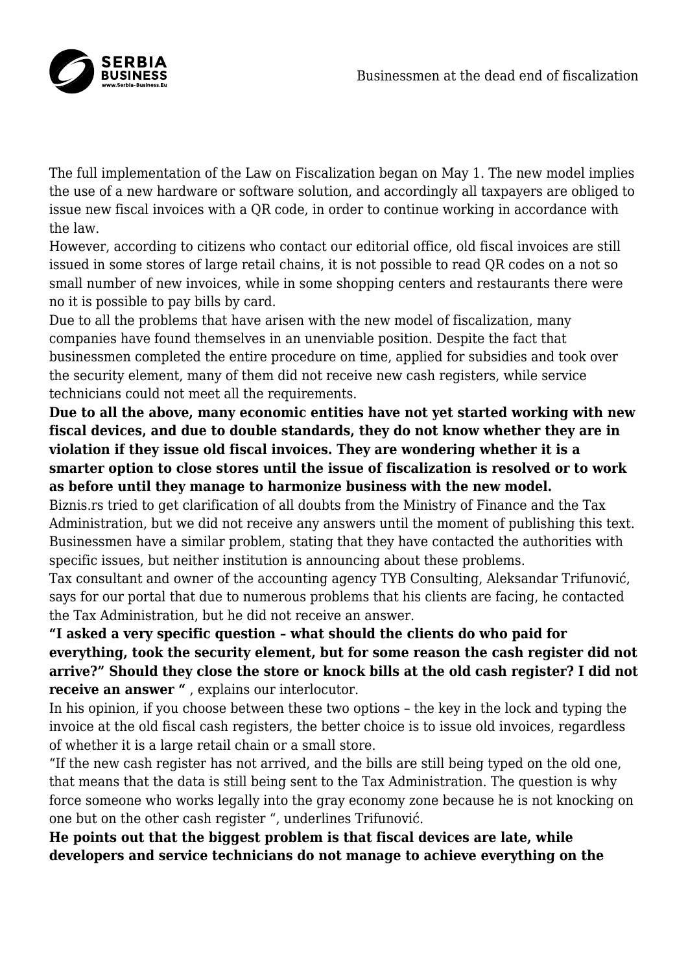

The full implementation of the Law on Fiscalization began on May 1. The new model implies the use of a new hardware or software solution, and accordingly all taxpayers are obliged to issue new fiscal invoices with a QR code, in order to continue working in accordance with the law.

However, according to citizens who contact our editorial office, old fiscal invoices are still issued in some stores of large retail chains, it is not possible to read QR codes on a not so small number of new invoices, while in some shopping centers and restaurants there were no it is possible to pay bills by card.

Due to all the problems that have arisen with the new model of fiscalization, many companies have found themselves in an unenviable position. Despite the fact that businessmen completed the entire procedure on time, applied for subsidies and took over the security element, many of them did not receive new cash registers, while service technicians could not meet all the requirements.

**Due to all the above, many economic entities have not yet started working with new fiscal devices, and due to double standards, they do not know whether they are in violation if they issue old fiscal invoices. They are wondering whether it is a smarter option to close stores until the issue of fiscalization is resolved or to work as before until they manage to harmonize business with the new model.**

Biznis.rs tried to get clarification of all doubts from the Ministry of Finance and the Tax Administration, but we did not receive any answers until the moment of publishing this text. Businessmen have a similar problem, stating that they have contacted the authorities with specific issues, but neither institution is announcing about these problems.

Tax consultant and owner of the accounting agency TYB Consulting, Aleksandar Trifunović, says for our portal that due to numerous problems that his clients are facing, he contacted the Tax Administration, but he did not receive an answer.

**"I asked a very specific question – what should the clients do who paid for everything, took the security element, but for some reason the cash register did not arrive?" Should they close the store or knock bills at the old cash register? I did not receive an answer "** , explains our interlocutor.

In his opinion, if you choose between these two options – the key in the lock and typing the invoice at the old fiscal cash registers, the better choice is to issue old invoices, regardless of whether it is a large retail chain or a small store.

"If the new cash register has not arrived, and the bills are still being typed on the old one, that means that the data is still being sent to the Tax Administration. The question is why force someone who works legally into the gray economy zone because he is not knocking on one but on the other cash register ", underlines Trifunović.

**He points out that the biggest problem is that fiscal devices are late, while developers and service technicians do not manage to achieve everything on the**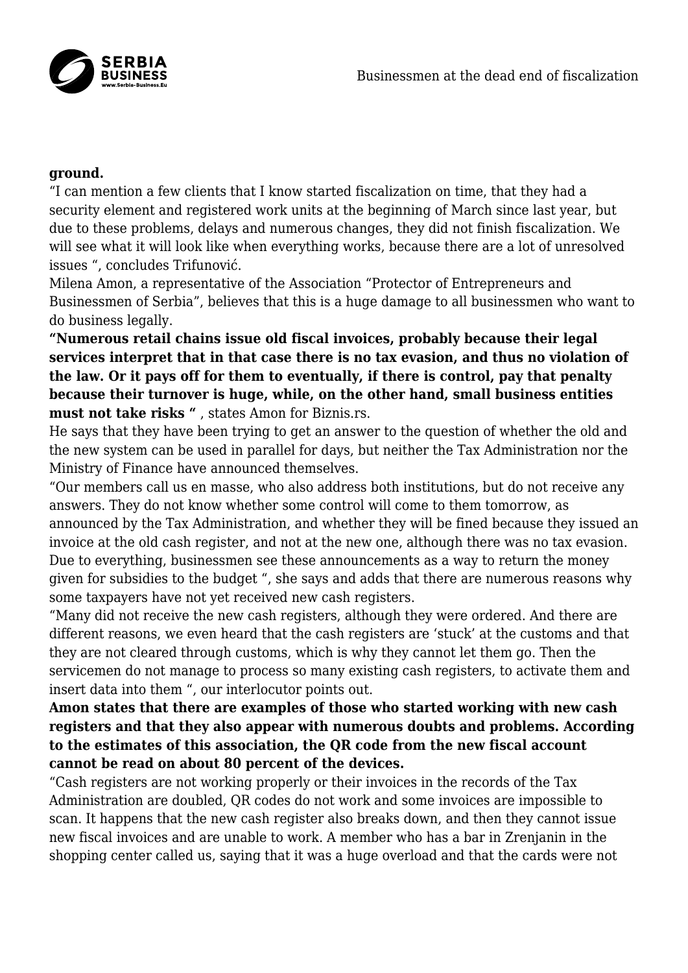

## **ground.**

"I can mention a few clients that I know started fiscalization on time, that they had a security element and registered work units at the beginning of March since last year, but due to these problems, delays and numerous changes, they did not finish fiscalization. We will see what it will look like when everything works, because there are a lot of unresolved issues ", concludes Trifunović.

Milena Amon, a representative of the Association "Protector of Entrepreneurs and Businessmen of Serbia", believes that this is a huge damage to all businessmen who want to do business legally.

**"Numerous retail chains issue old fiscal invoices, probably because their legal services interpret that in that case there is no tax evasion, and thus no violation of the law. Or it pays off for them to eventually, if there is control, pay that penalty because their turnover is huge, while, on the other hand, small business entities must not take risks "** , states Amon for Biznis.rs.

He says that they have been trying to get an answer to the question of whether the old and the new system can be used in parallel for days, but neither the Tax Administration nor the Ministry of Finance have announced themselves.

"Our members call us en masse, who also address both institutions, but do not receive any answers. They do not know whether some control will come to them tomorrow, as announced by the Tax Administration, and whether they will be fined because they issued an invoice at the old cash register, and not at the new one, although there was no tax evasion. Due to everything, businessmen see these announcements as a way to return the money given for subsidies to the budget ", she says and adds that there are numerous reasons why some taxpayers have not yet received new cash registers.

"Many did not receive the new cash registers, although they were ordered. And there are different reasons, we even heard that the cash registers are 'stuck' at the customs and that they are not cleared through customs, which is why they cannot let them go. Then the servicemen do not manage to process so many existing cash registers, to activate them and insert data into them ", our interlocutor points out.

## **Amon states that there are examples of those who started working with new cash registers and that they also appear with numerous doubts and problems. According to the estimates of this association, the QR code from the new fiscal account cannot be read on about 80 percent of the devices.**

"Cash registers are not working properly or their invoices in the records of the Tax Administration are doubled, QR codes do not work and some invoices are impossible to scan. It happens that the new cash register also breaks down, and then they cannot issue new fiscal invoices and are unable to work. A member who has a bar in Zrenjanin in the shopping center called us, saying that it was a huge overload and that the cards were not